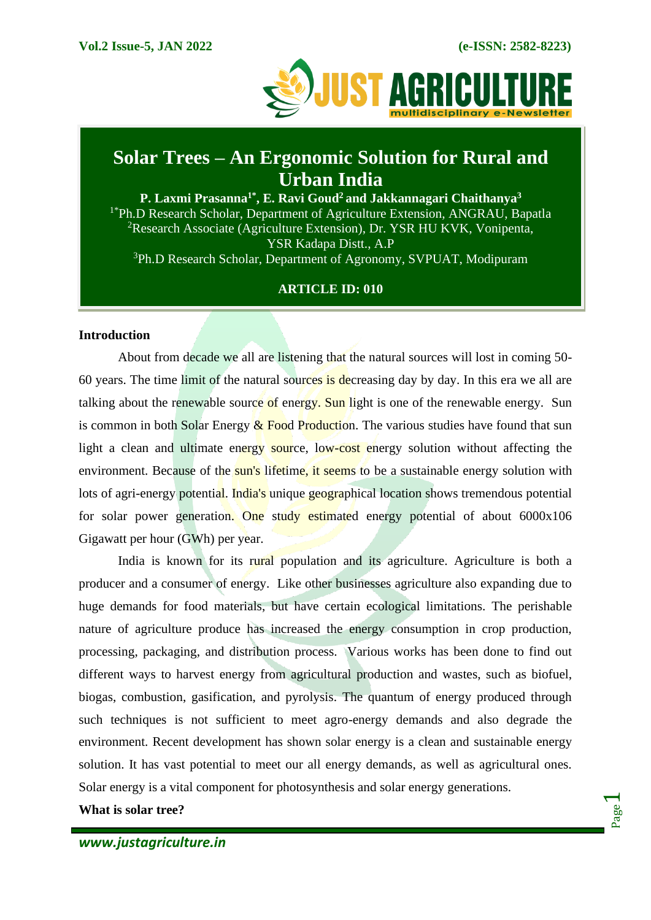

# **Solar Trees – An Ergonomic Solution for Rural and Urban India**

**P. Laxmi Prasanna1\*, E. Ravi Goud<sup>2</sup>and Jakkannagari Chaithanya<sup>3</sup>** <sup>1\*</sup>Ph.D Research Scholar, Department of Agriculture Extension, ANGRAU, Bapatla <sup>2</sup>Research Associate (Agriculture Extension), Dr. YSR HU KVK, Vonipenta, YSR Kadapa Distt., A.P <sup>3</sup>Ph.D Research Scholar, Department of Agronomy, SVPUAT, Modipuram

# **ARTICLE ID: 010**

#### **Introduction**

About from decade we all are listening that the natural sources will lost in coming 50- 60 years. The time limit of the natural sources is decreasing day by day. In this era we all are talking about the renewable source of energy. Sun light is one of the renewable energy. Sun is common in both Solar Energy  $\&$  Food Production. The various studies have found that sun light a clean and ultimate energy source, low-cost energy solution without affecting the environment. Because of the sun's lifetime, it seems to be a sustainable energy solution with lots of agri-energy potential. India's unique geographical location shows tremendous potential for solar power generation. One study estimated energy potential of about 6000x106 Gigawatt per hour (GWh) per year.

India is known for its rural population and its agriculture. Agriculture is both a producer and a consumer of energy. Like other businesses agriculture also expanding due to huge demands for food materials, but have certain ecological limitations. The perishable nature of agriculture produce has increased the energy consumption in crop production, processing, packaging, and distribution process. Various works has been done to find out different ways to harvest energy from agricultural production and wastes, such as biofuel, biogas, combustion, gasification, and pyrolysis. The quantum of energy produced through such techniques is not sufficient to meet agro-energy demands and also degrade the environment. Recent development has shown solar energy is a clean and sustainable energy solution. It has vast potential to meet our all energy demands, as well as agricultural ones. Solar energy is a vital component for photosynthesis and solar energy generations.

**What is solar tree?**

Page  $\overline{\phantom{0}}$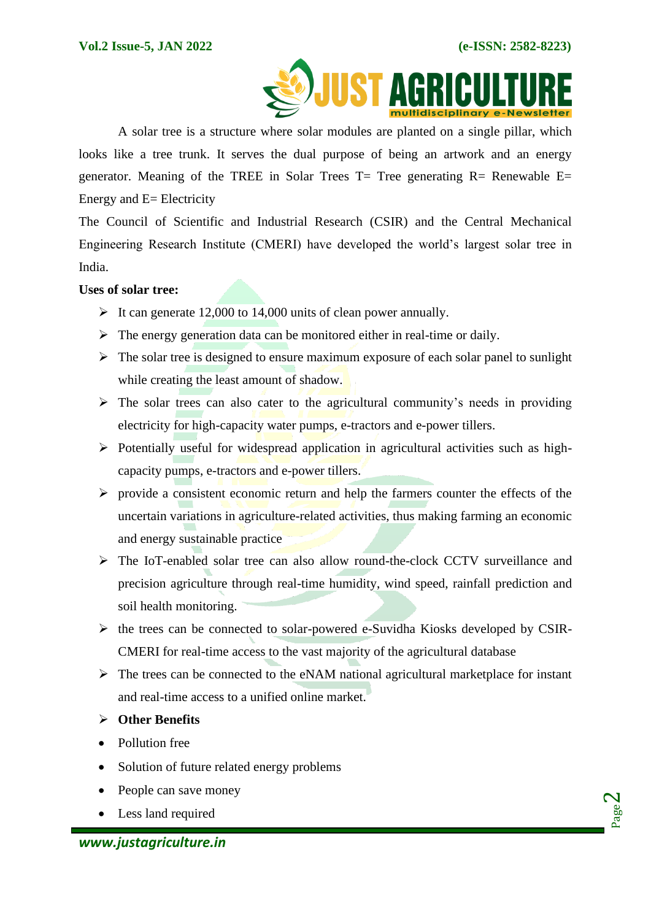

A solar tree is a structure where solar modules are planted on a single pillar, which looks like a tree trunk. It serves the dual purpose of being an artwork and an energy generator. Meaning of the TREE in Solar Trees  $T=$  Tree generating  $R=$  Renewable E= Energy and E= Electricity

The Council of Scientific and Industrial Research (CSIR) and the Central Mechanical Engineering Research Institute (CMERI) have developed the world's largest solar tree in India.

#### **Uses of solar tree:**

- $\triangleright$  It can generate 12,000 to 14,000 units of clean power annually.
- $\triangleright$  The energy generation data can be monitored either in real-time or daily.
- $\triangleright$  The solar tree is designed to ensure maximum exposure of each solar panel to sunlight while creating the least amount of shadow.
- $\triangleright$  The solar trees can also cater to the agricultural community's needs in providing electricity for high-capacity water pumps, e-tractors and e-power tillers.
- ➢ Potentially useful for widespread application in agricultural activities such as highcapacity pumps, e-tractors and e-power tillers.
- $\triangleright$  provide a consistent economic return and help the farmers counter the effects of the uncertain variations in agriculture-related activities, thus making farming an economic and energy sustainable practice
- ➢ The IoT-enabled solar tree can also allow round-the-clock CCTV surveillance and precision agriculture through real-time humidity, wind speed, rainfall prediction and soil health monitoring.
- ➢ the trees can be connected to solar-powered e-Suvidha Kiosks developed by CSIR-CMERI for real-time access to the vast majority of the agricultural database
- $\triangleright$  The trees can be connected to the eNAM national agricultural marketplace for instant and real-time access to a unified online market.
- ➢ **Other Benefits**
- Pollution free
- Solution of future related energy problems
- People can save money
- Less land required